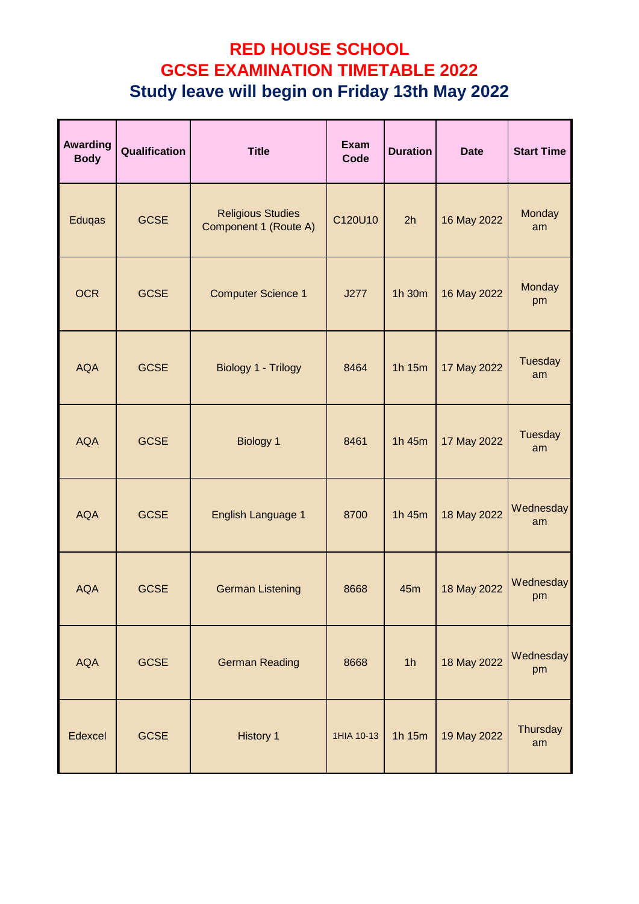| <b>Awarding</b><br><b>Body</b> | Qualification | <b>Title</b>                                      | <b>Exam</b><br>Code | <b>Duration</b> | <b>Date</b> | <b>Start Time</b> |
|--------------------------------|---------------|---------------------------------------------------|---------------------|-----------------|-------------|-------------------|
| Eduqas                         | <b>GCSE</b>   | <b>Religious Studies</b><br>Component 1 (Route A) | C120U10             | 2h              | 16 May 2022 | Monday<br>am      |
| <b>OCR</b>                     | <b>GCSE</b>   | <b>Computer Science 1</b>                         | J277                | 1h 30m          | 16 May 2022 | Monday<br>pm      |
| <b>AQA</b>                     | <b>GCSE</b>   | Biology 1 - Trilogy                               | 8464                | 1h 15m          | 17 May 2022 | Tuesday<br>am     |
| <b>AQA</b>                     | <b>GCSE</b>   | <b>Biology 1</b>                                  | 8461                | 1h 45m          | 17 May 2022 | Tuesday<br>am     |
| <b>AQA</b>                     | <b>GCSE</b>   | English Language 1                                | 8700                | 1h 45m          | 18 May 2022 | Wednesday<br>am   |
| <b>AQA</b>                     | <b>GCSE</b>   | <b>German Listening</b>                           | 8668                | 45m             | 18 May 2022 | Wednesday<br>pm   |
| <b>AQA</b>                     | <b>GCSE</b>   | <b>German Reading</b>                             | 8668                | 1 <sub>h</sub>  | 18 May 2022 | Wednesday<br>pm   |
| Edexcel                        | <b>GCSE</b>   | <b>History 1</b>                                  | 1HIA 10-13          | 1h 15m          | 19 May 2022 | Thursday<br>am    |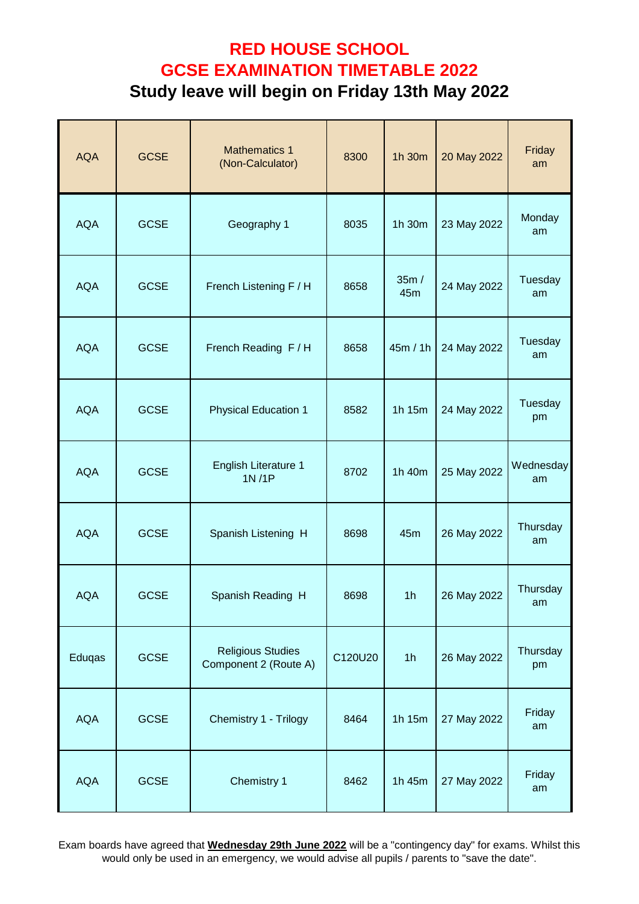| <b>AQA</b> | <b>GCSE</b> | <b>Mathematics 1</b><br>(Non-Calculator)          | 8300    | 1h 30m         | 20 May 2022 | Friday<br>am    |
|------------|-------------|---------------------------------------------------|---------|----------------|-------------|-----------------|
| <b>AQA</b> | <b>GCSE</b> | Geography 1                                       | 8035    | 1h 30m         | 23 May 2022 | Monday<br>am    |
| <b>AQA</b> | <b>GCSE</b> | French Listening F / H                            | 8658    | 35m/<br>45m    | 24 May 2022 | Tuesday<br>am   |
| <b>AQA</b> | <b>GCSE</b> | French Reading F/H                                | 8658    | 45m / 1h       | 24 May 2022 | Tuesday<br>am   |
| <b>AQA</b> | <b>GCSE</b> | <b>Physical Education 1</b>                       | 8582    | 1h 15m         | 24 May 2022 | Tuesday<br>pm   |
| <b>AQA</b> | <b>GCSE</b> | <b>English Literature 1</b><br>1N/1P              | 8702    | 1h 40m         | 25 May 2022 | Wednesday<br>am |
| <b>AQA</b> | <b>GCSE</b> | Spanish Listening H                               | 8698    | 45m            | 26 May 2022 | Thursday<br>am  |
| <b>AQA</b> | <b>GCSE</b> | Spanish Reading H                                 | 8698    | 1 <sub>h</sub> | 26 May 2022 | Thursday<br>am  |
| Eduqas     | <b>GCSE</b> | <b>Religious Studies</b><br>Component 2 (Route A) | C120U20 | 1 <sub>h</sub> | 26 May 2022 | Thursday<br>pm  |
| <b>AQA</b> | <b>GCSE</b> | Chemistry 1 - Trilogy                             | 8464    | 1h 15m         | 27 May 2022 | Friday<br>am    |
| <b>AQA</b> | <b>GCSE</b> | Chemistry 1                                       | 8462    | 1h 45m         | 27 May 2022 | Friday<br>am    |

Exam boards have agreed that **Wednesday 29th June 2022** will be a "contingency day" for exams. Whilst this would only be used in an emergency, we would advise all pupils / parents to "save the date".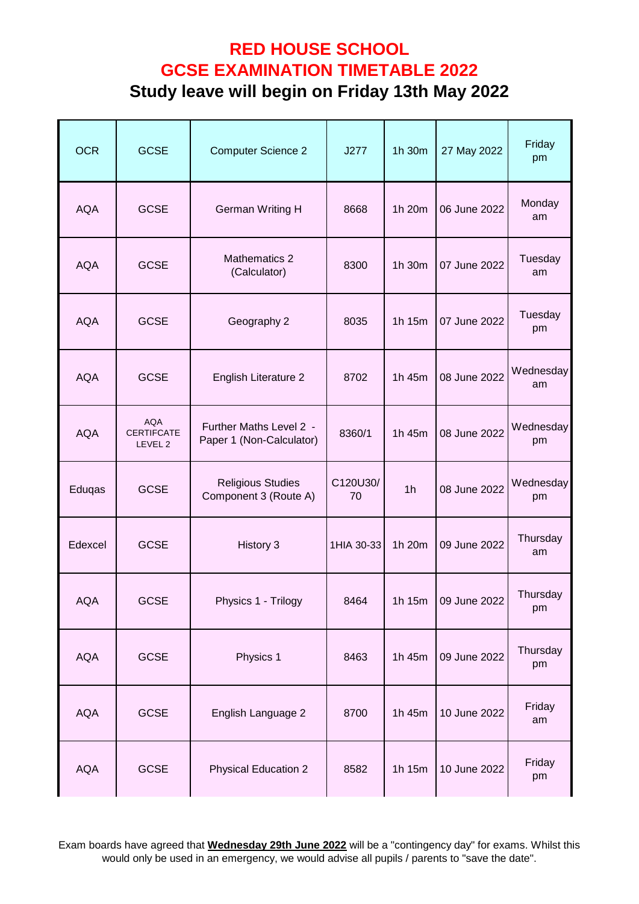| <b>OCR</b> | <b>GCSE</b>                                           | <b>Computer Science 2</b>                           | J277           | 1h 30m         | 27 May 2022  | Friday<br>pm    |
|------------|-------------------------------------------------------|-----------------------------------------------------|----------------|----------------|--------------|-----------------|
| <b>AQA</b> | <b>GCSE</b>                                           | <b>German Writing H</b>                             | 8668           | 1h 20m         | 06 June 2022 | Monday<br>am    |
| <b>AQA</b> | <b>GCSE</b>                                           | Mathematics 2<br>(Calculator)                       | 8300           | 1h 30m         | 07 June 2022 | Tuesday<br>am   |
| <b>AQA</b> | <b>GCSE</b>                                           | Geography 2                                         | 8035           | 1h 15m         | 07 June 2022 | Tuesday<br>pm   |
| <b>AQA</b> | <b>GCSE</b>                                           | English Literature 2                                | 8702           | 1h 45m         | 08 June 2022 | Wednesday<br>am |
| <b>AQA</b> | <b>AQA</b><br><b>CERTIFCATE</b><br>LEVEL <sub>2</sub> | Further Maths Level 2 -<br>Paper 1 (Non-Calculator) | 8360/1         | 1h 45m         | 08 June 2022 | Wednesday<br>pm |
| Eduqas     | <b>GCSE</b>                                           | <b>Religious Studies</b><br>Component 3 (Route A)   | C120U30/<br>70 | 1 <sub>h</sub> | 08 June 2022 | Wednesday<br>pm |
| Edexcel    | <b>GCSE</b>                                           | History 3                                           | 1HIA 30-33     | 1h 20m         | 09 June 2022 | Thursday<br>am  |
| AQA        | <b>GCSE</b>                                           | Physics 1 - Trilogy                                 | 8464           | 1h 15m         | 09 June 2022 | Thursday<br>pm  |
| <b>AQA</b> | <b>GCSE</b>                                           | Physics 1                                           | 8463           | 1h 45m         | 09 June 2022 | Thursday<br>pm  |
| <b>AQA</b> | <b>GCSE</b>                                           | English Language 2                                  | 8700           | 1h 45m         | 10 June 2022 | Friday<br>am    |
| <b>AQA</b> | <b>GCSE</b>                                           | <b>Physical Education 2</b>                         | 8582           | 1h 15m         | 10 June 2022 | Friday<br>pm    |

Exam boards have agreed that **Wednesday 29th June 2022** will be a "contingency day" for exams. Whilst this would only be used in an emergency, we would advise all pupils / parents to "save the date".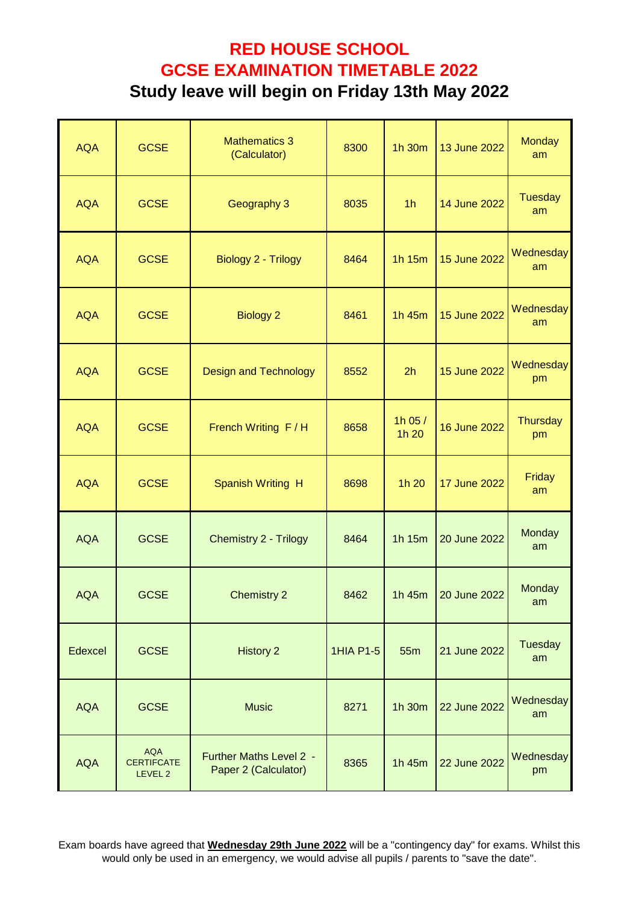| <b>AQA</b> | <b>GCSE</b>                                | <b>Mathematics 3</b><br>(Calculator)            | 8300             | 1h 30m          | 13 June 2022 | <b>Monday</b><br>am   |
|------------|--------------------------------------------|-------------------------------------------------|------------------|-----------------|--------------|-----------------------|
| <b>AQA</b> | <b>GCSE</b>                                | Geography 3                                     | 8035             | 1 <sub>h</sub>  | 14 June 2022 | <b>Tuesday</b><br>am  |
| <b>AQA</b> | <b>GCSE</b>                                | Biology 2 - Trilogy                             | 8464             | 1h 15m          | 15 June 2022 | Wednesday<br>am       |
| <b>AQA</b> | <b>GCSE</b>                                | <b>Biology 2</b>                                | 8461             | 1h 45m          | 15 June 2022 | Wednesday<br>am       |
| <b>AQA</b> | <b>GCSE</b>                                | <b>Design and Technology</b>                    | 8552             | 2h              | 15 June 2022 | Wednesday<br>pm       |
| <b>AQA</b> | <b>GCSE</b>                                | French Writing F/H                              | 8658             | 1h 05/<br>1h 20 | 16 June 2022 | <b>Thursday</b><br>pm |
| <b>AQA</b> | <b>GCSE</b>                                | Spanish Writing H                               | 8698             | 1h 20           | 17 June 2022 | Friday<br>am          |
| <b>AQA</b> | <b>GCSE</b>                                | <b>Chemistry 2 - Trilogy</b>                    | 8464             | 1h 15m          | 20 June 2022 | Monday<br>am          |
| <b>AQA</b> | <b>GCSE</b>                                | <b>Chemistry 2</b>                              | 8462             | 1h 45m          | 20 June 2022 | Monday<br>am          |
| Edexcel    | <b>GCSE</b>                                | <b>History 2</b>                                | <b>1HIA P1-5</b> | 55m             | 21 June 2022 | Tuesday<br>am         |
| <b>AQA</b> | <b>GCSE</b>                                | <b>Music</b>                                    | 8271             | 1h 30m          | 22 June 2022 | Wednesday<br>am       |
| <b>AQA</b> | <b>AQA</b><br><b>CERTIFCATE</b><br>LEVEL 2 | Further Maths Level 2 -<br>Paper 2 (Calculator) | 8365             | 1h 45m          | 22 June 2022 | Wednesday<br>pm       |

Exam boards have agreed that **Wednesday 29th June 2022** will be a "contingency day" for exams. Whilst this would only be used in an emergency, we would advise all pupils / parents to "save the date".